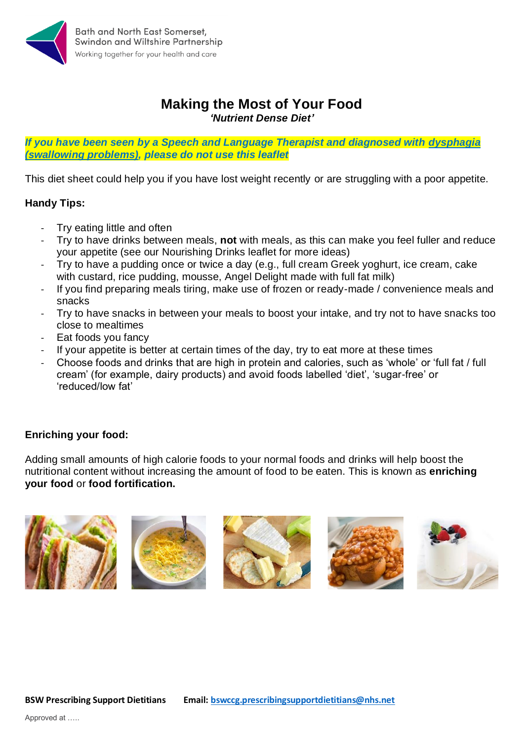

## **Making the Most of Your Food** *'Nutrient Dense Diet'*

*If you have been seen by a Speech and Language Therapist and diagnosed with dysphagia (swallowing problems), please do not use this leaflet*

This diet sheet could help you if you have lost weight recently or are struggling with a poor appetite.

## **Handy Tips:**

- Try eating little and often
- Try to have drinks between meals, **not** with meals, as this can make you feel fuller and reduce your appetite (see our Nourishing Drinks leaflet for more ideas)
- Try to have a pudding once or twice a day (e.g., full cream Greek yoghurt, ice cream, cake with custard, rice pudding, mousse, Angel Delight made with full fat milk)
- If you find preparing meals tiring, make use of frozen or ready-made / convenience meals and snacks
- Try to have snacks in between your meals to boost your intake, and try not to have snacks too close to mealtimes
- Eat foods you fancy
- If your appetite is better at certain times of the day, try to eat more at these times
- Choose foods and drinks that are high in protein and calories, such as 'whole' or 'full fat / full cream' (for example, dairy products) and avoid foods labelled 'diet', 'sugar-free' or 'reduced/low fat'

## **Enriching your food:**

Adding small amounts of high calorie foods to your normal foods and drinks will help boost the nutritional content without increasing the amount of food to be eaten. This is known as **enriching your food** or **food fortification.**